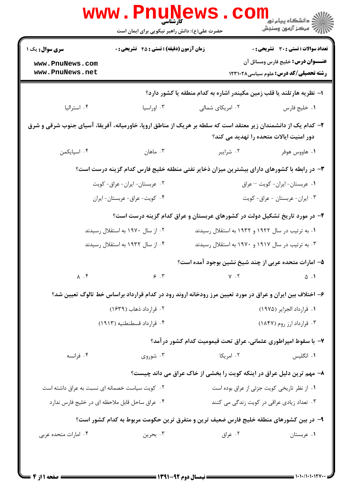| <b>تعداد سوالات : تستی : 30 ٪ تشریحی : 0</b>                                                                                                              |                                                                                                          | <b>زمان آزمون (دقیقه) : تستی : 45 تشریحی : 0</b> | سری سوال: یک ۱                                 |  |  |
|-----------------------------------------------------------------------------------------------------------------------------------------------------------|----------------------------------------------------------------------------------------------------------|--------------------------------------------------|------------------------------------------------|--|--|
| <b>عنـــوان درس:</b> خلیج فارس ومسائل آن                                                                                                                  |                                                                                                          |                                                  | www.PnuNews.com                                |  |  |
| رشته تحصیلی/کد درس: علوم سیاسی ۱۲۳۱۰۲۸                                                                                                                    |                                                                                                          |                                                  | www.PnuNews.net                                |  |  |
|                                                                                                                                                           | ا– نظریه هارتلند یا قلب زمین مکیندر اشاره به کدام منطقه یا کشور دارد؟                                    |                                                  |                                                |  |  |
| ٠١ خليج فارس                                                                                                                                              | ۰۲ امریکای شمالی                                                                                         | ۰۳ اوراسیا                                       | ۰۴ استرالیا                                    |  |  |
| ۲– کدام یک از دانشمندان زیر معتقد است که سلطه بر هریک از مناطق اروپا، خاورمیانه، آفریقا، آسیای جنوب شرقی و شرق<br>دور امنیت ایالات متحده را تهدید می کند؟ |                                                                                                          |                                                  |                                                |  |  |
| ۰۱ هاووس هوفر                                                                                                                                             | ۰۲ شرایبر                                                                                                | ۰۳ ماهان                                         | ۰۴ اسپایکمن                                    |  |  |
| ۳- در رابطه با کشورهای دارای بیشترین میزان ذخایر نفتی منطقه خلیج فارس کدام گزینه درست است؟                                                                |                                                                                                          |                                                  |                                                |  |  |
| ٠١ عربستان-ايران- كويت - عراق                                                                                                                             |                                                                                                          | ٢. عربستان-ايران- عراق- كويت                     |                                                |  |  |
|                                                                                                                                                           | ٠٣ ايران- عربستان - عراق- كويت                                                                           |                                                  | ۰۴ کويت- عراق- عربستان- ايران                  |  |  |
| ۴- در مورد تاریخ تشکیل دولت در کشورهای عربستان و عراق کدام گزینه درست است؟                                                                                |                                                                                                          |                                                  |                                                |  |  |
|                                                                                                                                                           | ۰۱ به ترتیب در سال ۱۹۲۲ و ۱۹۳۲ به استقلال رسیدند                                                         |                                                  | ۰۲ از سال ۱۹۷۰ به استقلال رسیدند               |  |  |
|                                                                                                                                                           | ۰۳ به ترتیب در سال ۱۹۱۷ و ۱۹۷۰ به استقلال رسیدند                                                         | ۰۴ از سال ۱۹۳۲ به استقلال رسیدند                 |                                                |  |  |
|                                                                                                                                                           | ۵– امارات متحده عربی از چند شیخ نشین بوجود آمده است؟                                                     |                                                  |                                                |  |  |
| $\Delta$ .                                                                                                                                                | $Y \cdot Y$                                                                                              | 9.7                                              | $\Lambda$ . $\mathfrak{f}$                     |  |  |
|                                                                                                                                                           | ۶– اختلاف بین ایران و عراق در مورد تعیین مرز رودخانه اروند رود در کدام قرارداد براساس خط تالوگ تعیین شد؟ |                                                  |                                                |  |  |
| ٠١. قرارداد الجزاير (١٩٧۵)                                                                                                                                |                                                                                                          | ۰۲ قرارداد ذهاب (۱۶۳۹)                           |                                                |  |  |
| ۰۳ قرارداد ارز روم (۱۸۴۷)<br>۰۴ قرارداد قسطنطنيه (۱۹۱۳)                                                                                                   |                                                                                                          |                                                  |                                                |  |  |
|                                                                                                                                                           | ٧– با سقوط امپراطوری عثمانی، عراق تحت قیمومیت کدام کشور در آمد؟                                          |                                                  |                                                |  |  |
| ۰۱ انگلیس                                                                                                                                                 | ۰۲ امریکا                                                                                                | ۰۳ شوروی                                         | ۰۴ فرانسه                                      |  |  |
|                                                                                                                                                           | ۸- مهم ترین دلیل عراق در اینکه کویت را بخشی از خاک عراق می داند چیست؟                                    |                                                  |                                                |  |  |
| ٠١ از نظر تاريخي كويت جزئي از عراق بوده است                                                                                                               |                                                                                                          |                                                  | ۰۲ کویت سیاست خصمانه ای نسبت به عراق داشته است |  |  |
| ۰۳ تعداد زیادی عراقی در کویت زندگی می کنند                                                                                                                |                                                                                                          |                                                  | ۰۴ عراق ساحل قابل ملاحظه ای در خلیج فارس ندارد |  |  |
|                                                                                                                                                           | ۹– در بین کشورهای منطقه خلیج فارس ضعیف ترین و متفرق ترین حکومت مربوط به کدام کشور است؟                   |                                                  |                                                |  |  |
| ۰۱ عربستان                                                                                                                                                | ۰۲ عراق                                                                                                  | ۰۳ بحرين                                         | ۰۴ امارات متحده عربی                           |  |  |

= 1+1+/1+1+121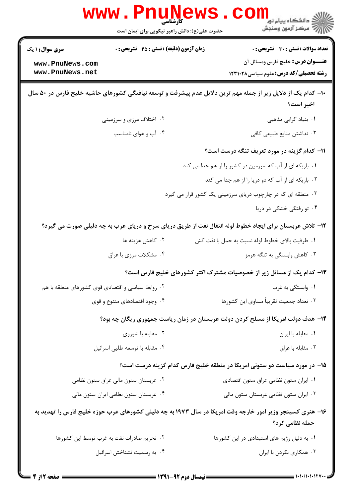|                                                                                                                              | WWW.PHUN<br>حضرت علی(ع): دانش راهبر نیکویی برای ایمان است |  | د دانشڪاه پيام نور<br>7- مرڪز آزمون وسنڊش                                                                                                |  |  |
|------------------------------------------------------------------------------------------------------------------------------|-----------------------------------------------------------|--|------------------------------------------------------------------------------------------------------------------------------------------|--|--|
| سری سوال: ۱ یک<br>www.PnuNews.com<br>www.PnuNews.net                                                                         | <b>زمان آزمون (دقیقه) : تستی : 45 تشریحی : 0</b>          |  | <b>تعداد سوالات : تستی : 30 - تشریحی : 0</b><br><b>عنـــوان درس:</b> خلیج فارس ومسائل آن<br><b>رشته تحصیلی/کد درس:</b> علوم سیاسی1۲۳۱۰۲۸ |  |  |
| ∙ا− کدام یک از دلایل زیر از جمله مهم ترین دلایل عدم پیشرفت و توسعه نیافتگی کشورهای حاشیه خلیج فارس در ۵۰ سال<br>اخير است؟    |                                                           |  |                                                                                                                                          |  |  |
|                                                                                                                              | ۰۲ اختلاف مرزی و سرزمینی                                  |  | ٠١. بنياد گرايي مذهبي                                                                                                                    |  |  |
|                                                                                                                              | ۰۴ آب و هوای نامناسب                                      |  | ۰۳ نداشتن منابع طبیعی کافی                                                                                                               |  |  |
|                                                                                                                              |                                                           |  | 11- کدام گزینه در مورد تعریف تنگه درست است؟<br>۰۱ باریکه ای از آب که سرزمین دو کشور را از هم جدا می کند                                  |  |  |
|                                                                                                                              |                                                           |  | ۰۲ باریکه ای از آب که دو دریا را از هم جدا می کند                                                                                        |  |  |
|                                                                                                                              |                                                           |  | ۰۳ منطقه ای که در چارچوب دریای سرزمینی یک کشور قرار می گیرد                                                                              |  |  |
|                                                                                                                              |                                                           |  | ۰۴ تو رفتگی خشکی در دریا                                                                                                                 |  |  |
|                                                                                                                              |                                                           |  | ۱۲- تلاش عربستان برای ایجاد خطوط لوله انتقال نفت از طریق دریای سرخ و دریای عرب به چه دلیلی صورت می گیرد؟                                 |  |  |
|                                                                                                                              | ۰۲ کاهش هزینه ها                                          |  | ٠١ ظرفيت بالاي خطوط لوله نسبت به حمل با نفت كش                                                                                           |  |  |
|                                                                                                                              | ۰۴ مشکلات مرزی با عراق                                    |  | ۰۳ کاهش وابستگی به تنگه هرمز                                                                                                             |  |  |
|                                                                                                                              |                                                           |  | ۱۳– کدام یک از مسائل زیر از خصوصیات مشترک اکثر کشورهای خلیج فارس است؟                                                                    |  |  |
| ۰۲ روابط سیاسی و اقتصادی قوی کشورهای منطقه با هم                                                                             |                                                           |  | ۰۱ وابستگی به غرب                                                                                                                        |  |  |
|                                                                                                                              | ۰۴ وجود اقتصادهای متنوع و قوی                             |  | ۰۳ تعداد جمعیت تقریباً مساوی این کشورها                                                                                                  |  |  |
| ۱۴- هدف دولت امریکا از مسلح کردن دولت عربستان در زمان ریاست جمهوری ریگان چه بود؟                                             |                                                           |  |                                                                                                                                          |  |  |
|                                                                                                                              | ۰۲ مقابله با شوروی                                        |  | ٠١. مقابله با ايران                                                                                                                      |  |  |
|                                                                                                                              | ۰۴ مقابله با توسعه طلبي اسرائيل                           |  | ۰۳ مقابله با عراق                                                                                                                        |  |  |
| ۱۵– در مورد سیاست دو ستونی امریکا در منطقه خلیج فارس کدام گزینه درست است؟                                                    |                                                           |  |                                                                                                                                          |  |  |
|                                                                                                                              | ۰۲ عربستان ستون مالی عراق ستون نظامی                      |  | ٠١ ايران ستون نظامي عراق ستون اقتصادى                                                                                                    |  |  |
|                                                                                                                              | ۰۴ عربستان ستون نظامی ایران ستون مالی                     |  | ۰۳ ایران ستون نظامی عربستان ستون مالی                                                                                                    |  |  |
| ۱۶– هنری کسینجر وزیر امور خارجه وقت امریکا در سال ۱۹۷۳ به چه دلیلی کشورهای عرب حوزه خلیج فارس را تهدید به<br>حمله نظامی کرد؟ |                                                           |  |                                                                                                                                          |  |  |
|                                                                                                                              | ۰۲ تحریم صادرات نفت به غرب توسط این کشورها                |  | ٠١. به دليل رژيم هاي استبدادي در اين كشورها                                                                                              |  |  |
|                                                                                                                              | ۰۴ به رسمیت نشناختن اسرائیل                               |  | ۰۳ همکاری نکردن با ایران                                                                                                                 |  |  |
|                                                                                                                              |                                                           |  |                                                                                                                                          |  |  |

= 1+1+/1+1+17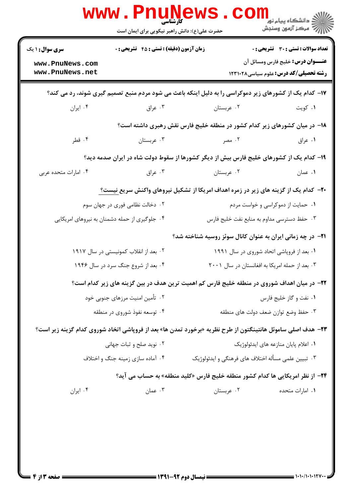| <b>سری سوال : ۱ یک</b>                | زمان آزمون (دقیقه) : تستی : 45 گتشریحی : 0    |                                                                                                                     | تعداد سوالات : تستي : 30 - تشريحي : 0                                                    |
|---------------------------------------|-----------------------------------------------|---------------------------------------------------------------------------------------------------------------------|------------------------------------------------------------------------------------------|
| www.PnuNews.com<br>www.PnuNews.net    |                                               |                                                                                                                     | <b>عنـــوان درس:</b> خلیج فارس ومسائل آن<br><b>رشته تحصیلی/کد درس:</b> علوم سیاسی1۲۳۱۰۲۸ |
|                                       |                                               | ۱۷- کدام یک از کشورهای زیر دموکراسی را به دلیل اینکه باعث می شود مردم منبع تصمیم گیری شوند، رد می کند؟              |                                                                                          |
| ۰۴ ایران                              | ۰۳ عراق                                       | ۰۲ عربستان                                                                                                          | ۰۱ کويت                                                                                  |
|                                       |                                               | ۱۸– در میان کشورهای زیر کدام کشور در منطقه خلیج فارس نقش رهبری داشته است؟                                           |                                                                                          |
| ۰۴ قطر                                | ۰۳ عربستان                                    | ۰۲ مصر                                                                                                              | ۰۱ عراق                                                                                  |
|                                       |                                               | ۱۹– کدام یک از کشورهای خلیج فارس بیش از دیگر کشورها از سقوط دولت شاه در ایران صدمه دید؟                             |                                                                                          |
| ۰۴ امارات متحده عربی                  | ۰۳ عراق                                       | ۰۲ عربستان                                                                                                          | ٠١ عمان                                                                                  |
|                                       |                                               | <b>-۲-</b> کدام یک از گزینه های زیر در زمره اهداف امریکا از تشکیل نیروهای واکنش سریع نیست؟                          |                                                                                          |
| ۰۲ دخالت نظامی فوری در جهان سوم       |                                               |                                                                                                                     | ۰۱ حمایت از دموکراسی و خواست مردم                                                        |
|                                       | ۰۴ جلوگیری از حمله دشمنان به نیروهای امریکایی |                                                                                                                     | ۰۳ حفظ دسترسی مداوم به منابع نفت خلیج فارس                                               |
|                                       |                                               | <b>۲۱</b> - در چه زمانی ایران به عنوان کانال سوئز روسیه شناخته شد؟                                                  |                                                                                          |
| ۰۲ بعد از انقلاب کمونیستی در سال ۱۹۱۷ |                                               |                                                                                                                     | ۰۱ بعد از فروپاشی اتحاد شوروی در سال ۱۹۹۱                                                |
|                                       | ۰۴ بعد از شروع جنگ سرد در سال ۱۹۴۶            | ۰۳ بعد از حمله امریکا به افغانستان در سال ۲۰۰۱                                                                      |                                                                                          |
|                                       |                                               | ۲۲– در میان اهداف شوروی در منطقه خلیج فارس کم اهمیت ترین هدف در بین گزینه های زیر کدام است؟                         |                                                                                          |
|                                       | ۰۲ تأمین امنیت مرزهای جنوبی خود               | ۰۱ نفت و گاز خلیج فارس                                                                                              |                                                                                          |
|                                       | ۰۴ توسعه نفوذ شوروی در منطقه                  | ۰۳ حفظ وضع توازن ضعف دولت هاى منطقه                                                                                 |                                                                                          |
|                                       |                                               | <b>۲۳</b> – هدف اصلی ساموئل هانتینگتون از طرح نظریه «برخورد تمدن ها» بعد از فروپاشی اتخاد شوروی کدام گزینه زیر است؟ |                                                                                          |
|                                       | ۰۲ نوید صلح و ثبات جهانی                      |                                                                                                                     | ۰۱ اعلام پایان منازعه های ایدئولوژیک                                                     |
|                                       | ۰۴ آماده سازی زمینه جنگ و اختلاف              | ۰۳ تبیین علمی مسأله اختلاف های فرهنگی و ایدئولوژیک                                                                  |                                                                                          |
|                                       |                                               | <b>۲۴</b> - از نظر امریکایی ها کدام کشور منطقه خلیج فارس «کلید منطقه» به حساب می آید؟                               |                                                                                          |
| ۰۴ ایران                              | ۰۳ عمان                                       | ۰۲ عربستان                                                                                                          | ۰۱ امارات متحده                                                                          |
|                                       |                                               |                                                                                                                     |                                                                                          |
|                                       |                                               |                                                                                                                     |                                                                                          |

 $= 1.1 - 11.1$